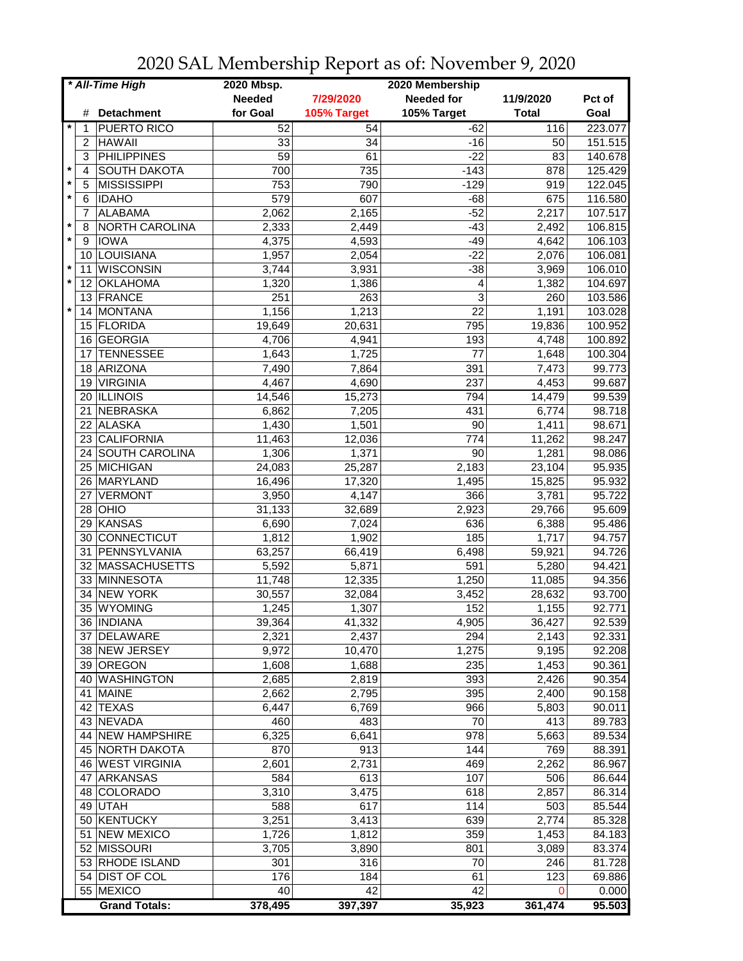| * All-Time High |                |                      | 2020 Mbsp.      |             | 2020 Membership   |              |         |
|-----------------|----------------|----------------------|-----------------|-------------|-------------------|--------------|---------|
|                 |                |                      | <b>Needed</b>   | 7/29/2020   | <b>Needed for</b> | 11/9/2020    | Pct of  |
|                 |                | # Detachment         | for Goal        | 105% Target | 105% Target       | <b>Total</b> | Goal    |
|                 | 1              | <b>PUERTO RICO</b>   | 52              | 54          | $-62$             | 116          | 223.077 |
|                 | 2              | <b>HAWAII</b>        | 33              | 34          | $-16$             | 50           | 151.515 |
|                 | 3              | <b>PHILIPPINES</b>   | $\overline{59}$ | 61          | $-22$             | 83           | 140.678 |
| $\star$         | $\overline{4}$ | <b>SOUTH DAKOTA</b>  | 700             | 735         | $-143$            | 878          | 125.429 |
| $\star$         | 5              | <b>MISSISSIPPI</b>   | 753             | 790         | $-129$            |              |         |
| $\star$         |                |                      |                 |             |                   | 919          | 122.045 |
|                 | 6              | <b>IDAHO</b>         | 579             | 607         | $-68$             | 675          | 116.580 |
|                 | 7              | <b>ALABAMA</b>       | 2,062           | 2,165       | $-52$             | 2,217        | 107.517 |
| $\star$         | 8              | NORTH CAROLINA       | 2,333           | 2,449       | $-43$             | 2,492        | 106.815 |
| $\star$         | 9              | <b>IOWA</b>          | 4,375           | 4,593       | $-49$             | 4,642        | 106.103 |
|                 | 10             | <b>LOUISIANA</b>     | 1,957           | 2,054       | $-22$             | 2,076        | 106.081 |
| $\star$         | 11             | <b>WISCONSIN</b>     | 3,744           | 3,931       | $-38$             | 3,969        | 106.010 |
| $\star$         | 12             | <b>OKLAHOMA</b>      | 1,320           | 1,386       | 4                 | 1,382        | 104.697 |
|                 |                | 13 FRANCE            | 251             | 263         | 3                 | 260          | 103.586 |
| $\star$         | 14             | MONTANA              | 1,156           | 1,213       | 22                | 1,191        | 103.028 |
|                 | 15             | FLORIDA              | 19,649          | 20,631      | 795               | 19,836       | 100.952 |
|                 | 16             | <b>GEORGIA</b>       | 4,706           | 4,941       | 193               | 4,748        | 100.892 |
|                 | 17             | <b>TENNESSEE</b>     | 1,643           | 1,725       | 77                | 1,648        | 100.304 |
|                 | 18             | ARIZONA              | 7,490           | 7,864       | 391               | 7,473        | 99.773  |
|                 | 19             | <b>VIRGINIA</b>      | 4,467           | 4,690       | 237               | 4,453        | 99.687  |
|                 |                | 20 ILLINOIS          | 14,546          | 15,273      | 794               | 14,479       | 99.539  |
|                 |                | 21 NEBRASKA          | 6,862           | 7,205       | 431               | 6,774        | 98.718  |
|                 |                | 22 ALASKA            | 1,430           | 1,501       | 90                | 1,411        | 98.671  |
|                 |                | 23 CALIFORNIA        | 11,463          | 12,036      | 774               | 11,262       | 98.247  |
|                 |                | 24 SOUTH CAROLINA    | 1,306           | 1,371       | 90                | 1,281        | 98.086  |
|                 |                |                      |                 |             |                   |              |         |
|                 |                | 25 MICHIGAN          | 24,083          | 25,287      | 2,183             | 23,104       | 95.935  |
|                 |                | 26 MARYLAND          | 16,496          | 17,320      | 1,495             | 15,825       | 95.932  |
|                 | 27             | <b>VERMONT</b>       | 3,950           | 4,147       | 366               | 3,781        | 95.722  |
|                 | 28             | OHIO                 | 31,133          | 32,689      | 2,923             | 29,766       | 95.609  |
|                 | 29             | KANSAS               | 6,690           | 7,024       | 636               | 6,388        | 95.486  |
|                 | 30             | CONNECTICUT          | 1,812           | 1,902       | 185               | 1,717        | 94.757  |
|                 | 31             | PENNSYLVANIA         | 63,257          | 66,419      | 6,498             | 59,921       | 94.726  |
|                 |                | 32 MASSACHUSETTS     | 5,592           | 5,871       | 591               | 5,280        | 94.421  |
|                 |                | 33 MINNESOTA         | 11,748          | 12,335      | 1,250             | 11,085       | 94.356  |
|                 | 34             | <b>NEW YORK</b>      | 30,557          | 32,084      | 3,452             | 28,632       | 93.700  |
|                 | 35             | WYOMING              | 1,245           | 1,307       | 152               | 1,155        | 92.771  |
|                 |                | 36 INDIANA           | 39,364          | 41,332      | 4,905             | 36,427       | 92.539  |
|                 |                | 37 DELAWARE          | 2,321           | 2,437       | 294               | 2,143        | 92.331  |
|                 |                | 38 NEW JERSEY        | 9,972           | 10,470      | 1,275             | 9,195        | 92.208  |
|                 |                | 39 OREGON            | 1,608           | 1,688       | 235               | 1,453        | 90.361  |
|                 |                | 40 WASHINGTON        | 2,685           | 2,819       | 393               | 2,426        | 90.354  |
|                 |                | 41 MAINE             | 2,662           | 2,795       | 395               | 2,400        | 90.158  |
|                 |                | 42 TEXAS             | 6,447           | 6,769       | 966               | 5,803        | 90.011  |
|                 |                | 43 NEVADA            | 460             | 483         | 70                | 413          | 89.783  |
|                 |                | 44 NEW HAMPSHIRE     | 6,325           | 6,641       | 978               | 5,663        | 89.534  |
|                 |                | 45 NORTH DAKOTA      | 870             | 913         | 144               | 769          | 88.391  |
|                 |                | 46 WEST VIRGINIA     | 2,601           | 2,731       | 469               | 2,262        | 86.967  |
|                 |                |                      |                 | 613         |                   |              |         |
|                 | 47             | ARKANSAS             | 584             |             | 107               | 506          | 86.644  |
|                 |                | 48 COLORADO          | 3,310           | 3,475       | 618               | 2,857        | 86.314  |
|                 |                | 49 UTAH              | 588             | 617         | 114               | 503          | 85.544  |
|                 |                | 50 KENTUCKY          | 3,251           | 3,413       | 639               | 2,774        | 85.328  |
|                 | 51             | <b>NEW MEXICO</b>    | 1,726           | 1,812       | 359               | 1,453        | 84.183  |
|                 |                | 52 MISSOURI          | 3,705           | 3,890       | 801               | 3,089        | 83.374  |
|                 |                | 53 RHODE ISLAND      | 301             | 316         | 70                | 246          | 81.728  |
|                 |                | 54 DIST OF COL       | 176             | 184         | 61                | 123          | 69.886  |
|                 |                | 55 MEXICO            | 40              | 42          | 42                | $\Omega$     | 0.000   |
|                 |                | <b>Grand Totals:</b> | 378,495         | 397,397     | 35,923            | 361,474      | 95.503  |

2020 SAL Membership Report as of: November 9, 2020